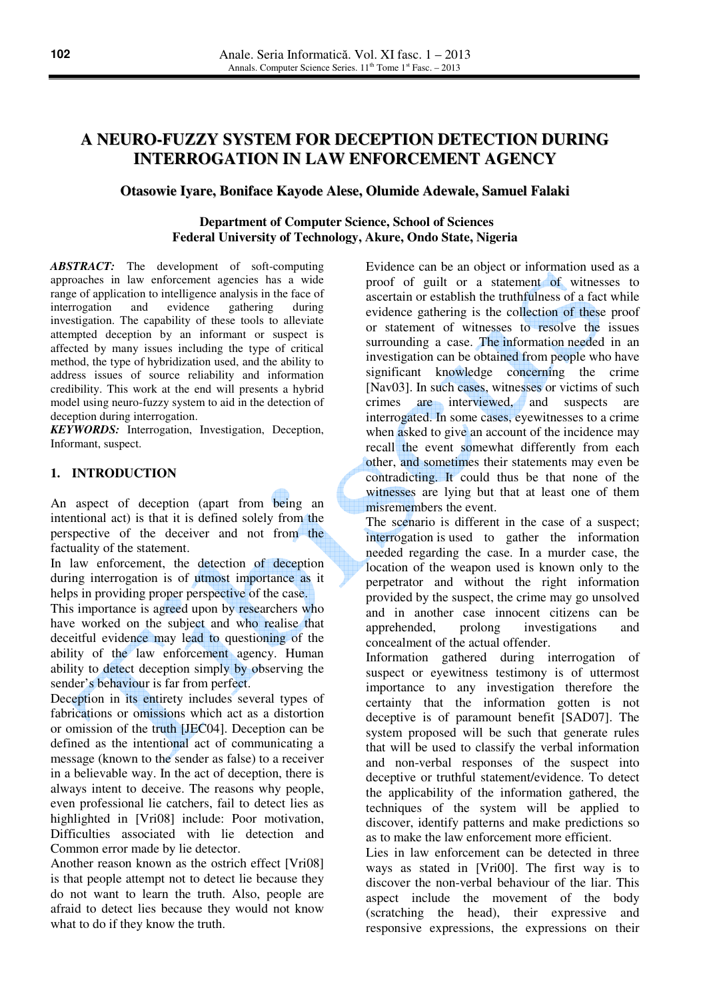# **A NEURO-FUZZY SYSTEM FOR DECEPTION DETECTION DURING INTERROGATION IN LAW ENFORCEMENT AGENCY**

# **Otasowie Iyare, Boniface Kayode Alese, Olumide Adewale, Samuel Falaki**

 **Department of Computer Science, School of Sciences Federal University of Technology, Akure, Ondo State, Nigeria** 

*ABSTRACT:* The development of soft-computing approaches in law enforcement agencies has a wide range of application to intelligence analysis in the face of interrogation and evidence gathering during interrogation and evidence gathering during investigation. The capability of these tools to alleviate attempted deception by an informant or suspect is affected by many issues including the type of critical method, the type of hybridization used, and the ability to address issues of source reliability and information credibility. This work at the end will presents a hybrid model using neuro-fuzzy system to aid in the detection of deception during interrogation.

*KEYWORDS:* Interrogation, Investigation, Deception, Informant, suspect.

#### **1. INTRODUCTION**

An aspect of deception (apart from being an intentional act) is that it is defined solely from the perspective of the deceiver and not from the factuality of the statement.

In law enforcement, the detection of deception during interrogation is of utmost importance as it helps in providing proper perspective of the case.

This importance is agreed upon by researchers who have worked on the subject and who realise that deceitful evidence may lead to questioning of the ability of the law enforcement agency. Human ability to detect deception simply by observing the sender's behaviour is far from perfect.

Deception in its entirety includes several types of fabrications or omissions which act as a distortion or omission of the truth [JEC04]. Deception can be defined as the intentional act of communicating a message (known to the sender as false) to a receiver in a believable way. In the act of deception, there is always intent to deceive. The reasons why people, even professional lie catchers, fail to detect lies as highlighted in [Vri08] include: Poor motivation, Difficulties associated with lie detection and Common error made by lie detector.

Another reason known as the ostrich effect [Vri08] is that people attempt not to detect lie because they do not want to learn the truth. Also, people are afraid to detect lies because they would not know what to do if they know the truth.

Evidence can be an object or information used as a proof of guilt or a statement of witnesses to ascertain or establish the truthfulness of a fact while evidence gathering is the collection of these proof or statement of witnesses to resolve the issues surrounding a case. The information needed in an investigation can be obtained from people who have significant knowledge concerning the crime [Nav03]. In such cases, witnesses or victims of such crimes are interviewed, and suspects are interrogated. In some cases, eyewitnesses to a crime when asked to give an account of the incidence may recall the event somewhat differently from each other, and sometimes their statements may even be contradicting. It could thus be that none of the witnesses are lying but that at least one of them misremembers the event.

The scenario is different in the case of a suspect; interrogation is used to gather the information needed regarding the case. In a murder case, the location of the weapon used is known only to the perpetrator and without the right information provided by the suspect, the crime may go unsolved and in another case innocent citizens can be apprehended, prolong investigations and concealment of the actual offender.

Information gathered during interrogation of suspect or eyewitness testimony is of uttermost importance to any investigation therefore the certainty that the information gotten is not deceptive is of paramount benefit [SAD07]. The system proposed will be such that generate rules that will be used to classify the verbal information and non-verbal responses of the suspect into deceptive or truthful statement/evidence. To detect the applicability of the information gathered, the techniques of the system will be applied to discover, identify patterns and make predictions so as to make the law enforcement more efficient.

Lies in law enforcement can be detected in three ways as stated in [Vri00]. The first way is to discover the non-verbal behaviour of the liar. This aspect include the movement of the body (scratching the head), their expressive and responsive expressions, the expressions on their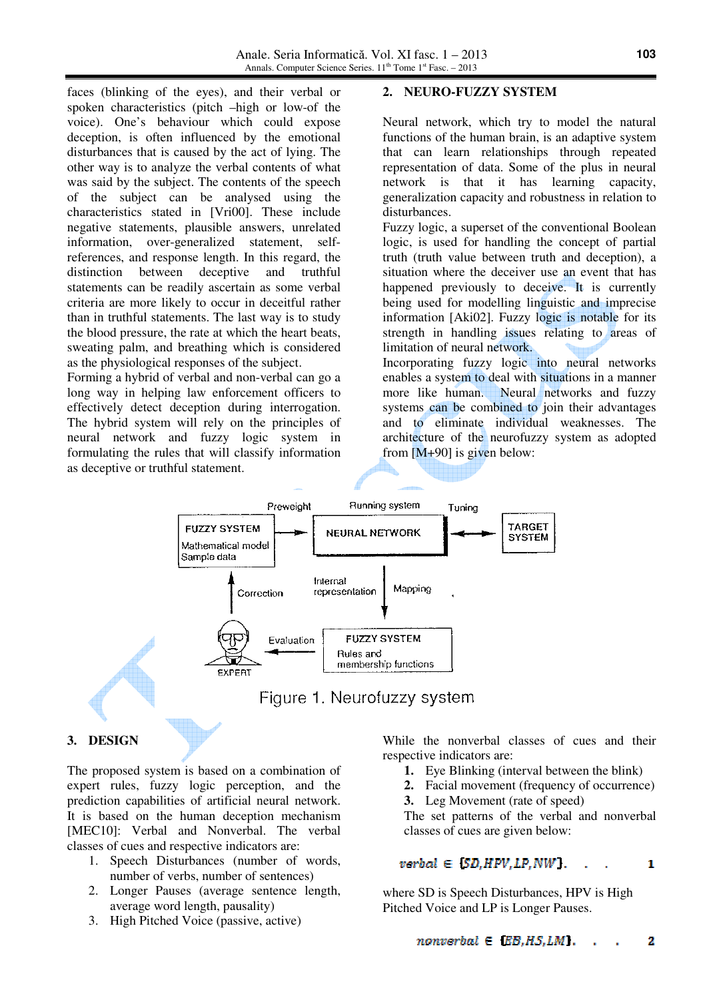faces (blinking of the eyes), and their verbal or spoken characteristics (pitch –high or low-of the voice). One's behaviour which could expose deception, is often influenced by the emotional disturbances that is caused by the act of lying. The other way is to analyze the verbal contents of what was said by the subject. The contents of the speech of the subject can be analysed using the characteristics stated in [Vri00]. These include negative statements, plausible answers, unrelated information, over-generalized statement, selfreferences, and response length. In this regard, the distinction between deceptive and truthful statements can be readily ascertain as some verbal criteria are more likely to occur in deceitful rather than in truthful statements. The last way is to study the blood pressure, the rate at which the heart beats, sweating palm, and breathing which is considered as the physiological responses of the subject.

Forming a hybrid of verbal and non-verbal can go a long way in helping law enforcement officers to effectively detect deception during interrogation. The hybrid system will rely on the principles of neural network and fuzzy logic system in formulating the rules that will classify information as deceptive or truthful statement.

# **2. NEURO-FUZZY SYSTEM**

Neural network, which try to model the natural functions of the human brain, is an adaptive system that can learn relationships through repeated representation of data. Some of the plus in neural network is that it has learning capacity, generalization capacity and robustness in relation to disturbances.

Fuzzy logic, a superset of the conventional Boolean logic, is used for handling the concept of partial truth (truth value between truth and deception), a situation where the deceiver use an event that has happened previously to deceive. It is currently being used for modelling linguistic and imprecise information [Aki02]. Fuzzy logic is notable for its strength in handling issues relating to areas of limitation of neural network.

Incorporating fuzzy logic into neural networks enables a system to deal with situations in a manner more like human. Neural networks and fuzzy systems can be combined to join their advantages and to eliminate individual weaknesses. The architecture of the neurofuzzy system as adopted from [M+90] is given below:



### **3. DESIGN**

The proposed system is based on a combination of expert rules, fuzzy logic perception, and the prediction capabilities of artificial neural network. It is based on the human deception mechanism [MEC10]: Verbal and Nonverbal. The verbal classes of cues and respective indicators are:

- 1. Speech Disturbances (number of words, number of verbs, number of sentences)
- 2. Longer Pauses (average sentence length, average word length, pausality)
- 3. High Pitched Voice (passive, active)

While the nonverbal classes of cues and their respective indicators are:

- **1.** Eye Blinking (interval between the blink)
- **2.** Facial movement (frequency of occurrence)
- **3.** Leg Movement (rate of speed)

The set patterns of the verbal and nonverbal classes of cues are given below:

#### $verbal \in SD, HPV, LP, NW$ .  $\mathbf{1}$

where SD is Speech Disturbances, HPV is High Pitched Voice and LP is Longer Pauses.